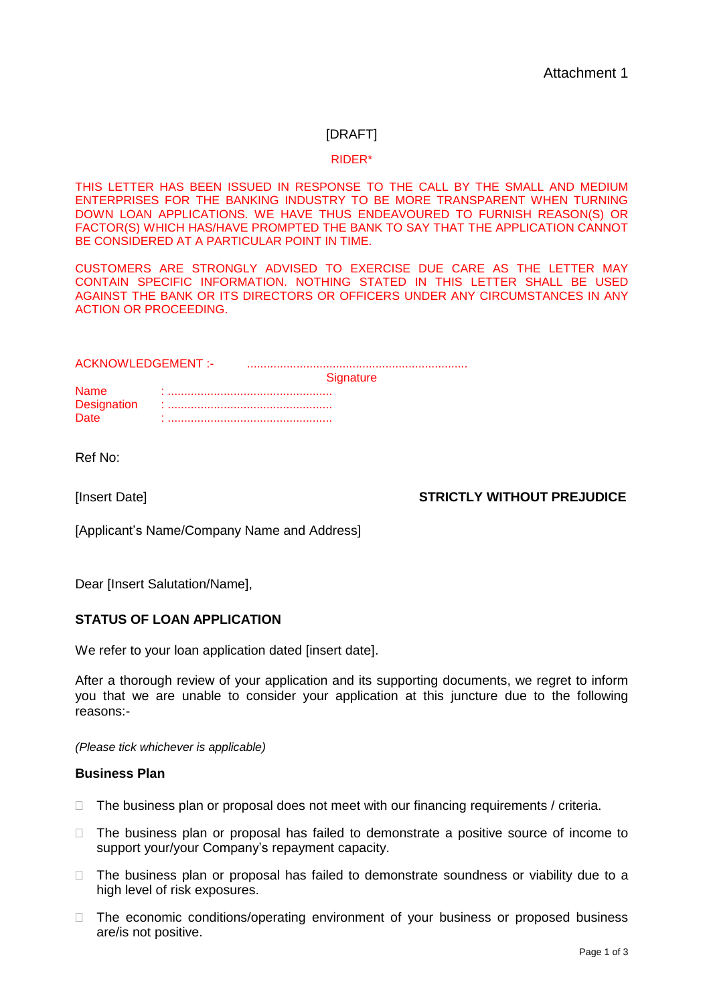# [DRAFT]

#### RIDER\*

THIS LETTER HAS BEEN ISSUED IN RESPONSE TO THE CALL BY THE SMALL AND MEDIUM ENTERPRISES FOR THE BANKING INDUSTRY TO BE MORE TRANSPARENT WHEN TURNING DOWN LOAN APPLICATIONS. WE HAVE THUS ENDEAVOURED TO FURNISH REASON(S) OR FACTOR(S) WHICH HAS/HAVE PROMPTED THE BANK TO SAY THAT THE APPLICATION CANNOT BE CONSIDERED AT A PARTICULAR POINT IN TIME.

CUSTOMERS ARE STRONGLY ADVISED TO EXERCISE DUE CARE AS THE LETTER MAY CONTAIN SPECIFIC INFORMATION. NOTHING STATED IN THIS LETTER SHALL BE USED AGAINST THE BANK OR ITS DIRECTORS OR OFFICERS UNDER ANY CIRCUMSTANCES IN ANY ACTION OR PROCEEDING.

ACKNOWLEDGEMENT :- ...................................................................

**Signature** 

Name : .................................................. Designation : .................................................. Date : ..................................................

Ref No:

[Insert Date] **STRICTLY WITHOUT PREJUDICE**

[Applicant's Name/Company Name and Address]

Dear [Insert Salutation/Name],

### **STATUS OF LOAN APPLICATION**

We refer to your loan application dated [insert date].

After a thorough review of your application and its supporting documents, we regret to inform you that we are unable to consider your application at this juncture due to the following reasons:-

*(Please tick whichever is applicable)*

### **Business Plan**

- $\Box$  The business plan or proposal does not meet with our financing requirements / criteria.
- $\Box$  The business plan or proposal has failed to demonstrate a positive source of income to support your/your Company's repayment capacity.
- $\Box$  The business plan or proposal has failed to demonstrate soundness or viability due to a high level of risk exposures.
- □ The economic conditions/operating environment of your business or proposed business are/is not positive.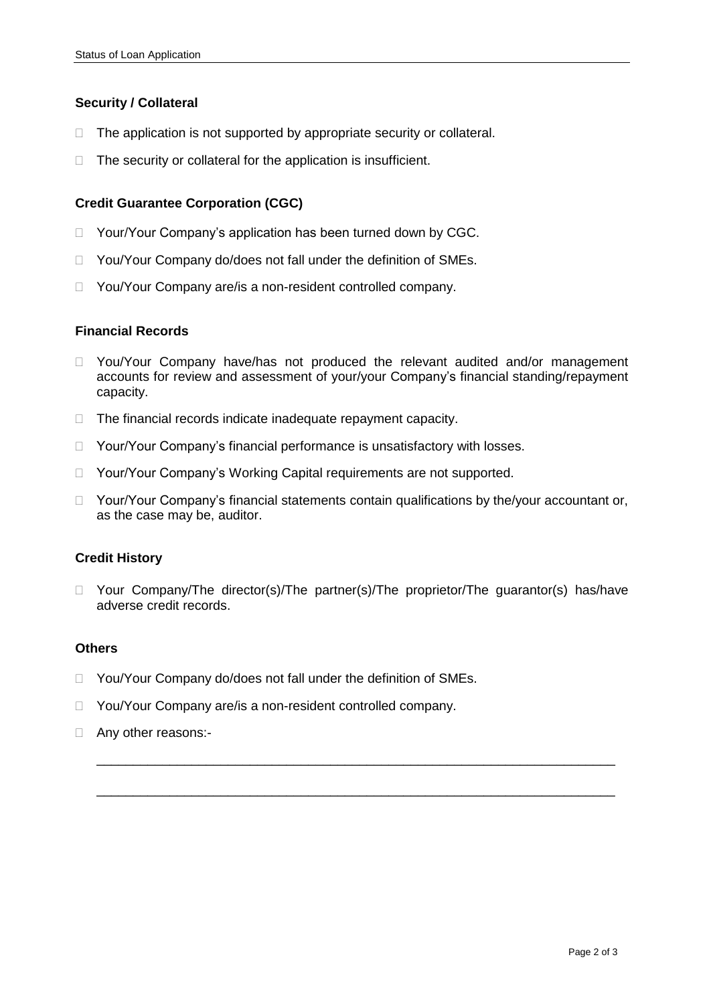## **Security / Collateral**

- $\Box$  The application is not supported by appropriate security or collateral.
- $\Box$  The security or collateral for the application is insufficient.

### **Credit Guarantee Corporation (CGC)**

- □ Your/Your Company's application has been turned down by CGC.
- □ You/Your Company do/does not fall under the definition of SMEs.
- □ You/Your Company are/is a non-resident controlled company.

### **Financial Records**

- □ You/Your Company have/has not produced the relevant audited and/or management accounts for review and assessment of your/your Company's financial standing/repayment capacity.
- $\Box$  The financial records indicate inadequate repayment capacity.
- □ Your/Your Company's financial performance is unsatisfactory with losses.
- □ Your/Your Company's Working Capital requirements are not supported.
- $\Box$  Your/Your Company's financial statements contain qualifications by the/your accountant or, as the case may be, auditor.

### **Credit History**

□ Your Company/The director(s)/The partner(s)/The proprietor/The guarantor(s) has/have adverse credit records.

\_\_\_\_\_\_\_\_\_\_\_\_\_\_\_\_\_\_\_\_\_\_\_\_\_\_\_\_\_\_\_\_\_\_\_\_\_\_\_\_\_\_\_\_\_\_\_\_\_\_\_\_\_\_\_\_\_\_\_\_\_\_\_\_\_\_\_\_\_\_\_

\_\_\_\_\_\_\_\_\_\_\_\_\_\_\_\_\_\_\_\_\_\_\_\_\_\_\_\_\_\_\_\_\_\_\_\_\_\_\_\_\_\_\_\_\_\_\_\_\_\_\_\_\_\_\_\_\_\_\_\_\_\_\_\_\_\_\_\_\_\_\_

### **Others**

- □ You/Your Company do/does not fall under the definition of SMEs.
- □ You/Your Company are/is a non-resident controlled company.
- □ Any other reasons:-